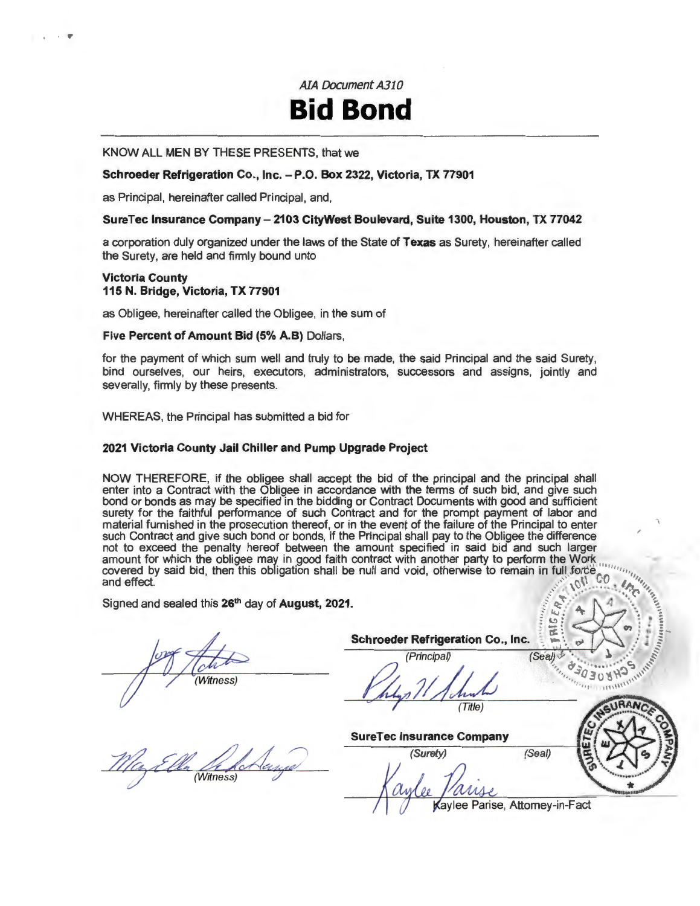AJA Document A310

# **Bid Bond**

KNOW ALL MEN BY THESE PRESENTS, that we

#### Schroeder Refrigeration Co., Inc. - P.O. Box 2322, Victoria, TX 77901

as Principal, hereinafter called Principal, and,

#### SureTec Insurance Company- 2103 CityWest Boulevard, Suite 1300, Houston, TX 77042

a corporation duly organized under the laws of the State of Texas as Surety, hereinafter called the Surety, are held and firmly bound unto

#### Victoria County 115 N. Bridge, Victoria, TX 77901

as Obligee, hereinafter called the Obligee, in the sum of

#### Five Percent of Amount Bid (5% A.B) Dollars,

for the payment of which sum well and truly to be made, the said Principal and the said Surety, bind ourselves, our heirs, executors, administrators, successors and assigns, jointly and severally, firmly by these presents.

WHEREAS, the Principal has submitted a bid for

#### 2021 Victoria County Jail Chiller and Pump Upgrade Project

NOW THEREFORE, if the obligee shall accept the bid of the principal and the principal shall enter into a Contract with the Obligee in accordance with the terms of such bid, and give such bond or bonds as may be specified in the bidding or Contract Documents with good and sufficient surety for the faithful performance of such Contract and for the prompt payment of labor and material furnished in the prosecution thereof, or in the event of the failure of the Principal to enter such Contract and give such bond or bonds, if the Principal shall pay to the Obligee the difference not to exceed the penalty hereof between the amount specified in said bid and such larger<br>amount for which the obligee may in good faith contract with another party to perform the Work amount for which the obligee may in good faith contract with another party to perform the Work<br>covered by said bid, then this obligation shall be null and void, otherwise to remain in full force with and effect. ' ,, .···· .. ..... "(" ....... <sup>~</sup>

Signed and sealed this 26<sup>th</sup> day of August, 2021.  $\begin{pmatrix} 4 & 4 \end{pmatrix}$ 

(Witness)

Schroeder Refrigeration Co., Inc.

chroeder Refrigeration Co., Inc.<br>
(Principal)<br>
(See by the 2008 HOSP)  $(Title)$ 

SureTec Insurance Company

(Witness)

(Surety) (Seal)

 $\frac{1}{2}$   $\frac{1}{2}$   $\frac{1}{2}$   $\frac{1}{2}$   $\frac{1}{2}$   $\frac{1}{2}$   $\frac{1}{2}$   $\frac{1}{2}$   $\frac{1}{2}$   $\frac{1}{2}$   $\frac{1}{2}$   $\frac{1}{2}$   $\frac{1}{2}$   $\frac{1}{2}$   $\frac{1}{2}$   $\frac{1}{2}$   $\frac{1}{2}$   $\frac{1}{2}$   $\frac{1}{2}$   $\frac{1}{2}$   $\frac{1}{2}$   $\frac{1}{2}$   $\mathbb{R}:\mathbb{R}\rightarrow\mathbb{R}$ 

Kaylee Parise, Attorney-in-Fact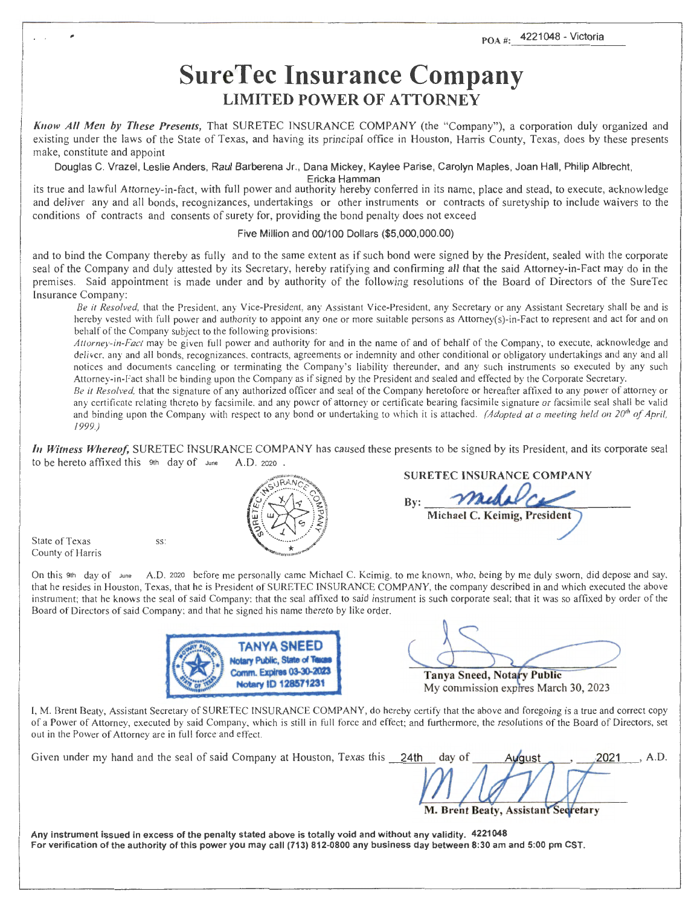### **SureTec Insurance Company LIMITED POWER OF ATTORNEY**

*Know All Men by These Presents,* That SURETEC INSURANCE COMPANY (the "Company"), a corporation duly organized and existing under the laws of the State of Texas, and having its principal office in Houston, Harris County, Texas, does by these presents make, constitute and appoint

Douglas C. Vrazel, Leslie Anders, Raul Barberena Jr., Dana Mickey, Kaylee Parise, Carolyn Maples, Joan Hall, Philip Albrecht,

Ericka Hamman

its true and lawful Attorney-in-fact, with full power and authority hereby conferred in its name, place and stead, to execute, acknowledge and deliver any and all bonds, recognizances, undertakings or other instruments or contracts of suretyship to include waivers to the conditions of contracts and consents of surety for, providing the bond penalty does not exceed

#### Five Million and 00/100 Dollars (\$5,000,000.00)

and to bind the Company thereby as fully and to the same extent as if such bond were signed by the President, sealed with the corporate seal of the Company and duly attested by its Secretary, hereby ratifying and confirming all that the said Attorney-in-Fact may do in the premises. Said appointment is made under and by authority of the following resolutions of the Board of Directors of the SureTec Insurance Company:

*Be it Resolved,* that the President, any Vice-President, any Assistant Vice-President, any Secretary or any Assistant Secretary shall be and is hereby vested with full power and authority to appoint any one or more suitable persons as Attorney(s)-in-Fact to represent and act for and on behalf of the Company subject to the following provisions:

*Attorney-in-Fact* may be given full power and authority for and in the name of and of behalf of the Company, to execute, acknowledge and deliver, any and all bonds, recognizances, contracts, agreements or indemnity and other conditional or obligatory undertakings and any and all notices and documents canceling or terminating the Company's liability thereunder, and any such instruments so executed by any such Attorney-in-Fact shall be binding upon the Company as if signed by the President and sealed and effected by the Corporate Secretary.

*Be* it *Resolved,* that the signature of any authorized officer and seal of the Company heretofore or hereafter affixed to any power of attorney or any certificate relating thereto by facsimile, and any power of attorney or certificate bearing facsimile signature or facsimile seal shall be valid and binding upon the Company with respect to any bond or undertaking to which it is attached. *(Adopted at a meeting held on 20<sup>th</sup> of April,* 1999.)

*In Witness Whereof,* SURETEC INSURANCE COMPANY has caused these presents to be signed by its President, and its corporate seal to be hereto affixed this 9th day of June A.D. 2020

State of Texas County of Harris ss:

On this 9th day of June A.D. 2020 before me personally came Michael C. Keimig, to me known, who, being by me duly sworn, did depose and say, that he resides in Houston, Texas, that he is President ofSURETEC INSURANCE COMPANY, the company described in and which executed the above instrument; that he knows the seal of said Company; that the seal affixed to said instrument is such corporate seal; that it was so affixed by order of the Board of Directors of said Company; and that he signed his name thereto by like order.



**Tanya Sneed, Notary Public** 

**SURETEC INSURANCE COMPANY** 

Michael C. Keimig, President

My commission expires March 30, 2023

I, M. Brent Beaty, Assistant Secretary of SURETEC INSURANCE COMPANY, do hereby certify that the above and foregoing is a true and correct copy of a Power of Attorney, executed by said Company, which is still in full force and effect; and furthermore, the resolutions of the Board of Directors, set out in the Power of Attorney are in full force and effect.

| Given under my hand and the seal of said Company at Houston, Texas this 24th | day of   | August                              | $-2021$ | A.D. |
|------------------------------------------------------------------------------|----------|-------------------------------------|---------|------|
|                                                                              | $M$ $AY$ | M. Brent Beaty, Assistant Secretary |         |      |

Any instrument issued in excess of the penalty stated above is totally void and without any validity. 4221048 For verification of the authority of this power you may call (713) 812-0800 any business day between 8:30 am and 5:00 pm CST.